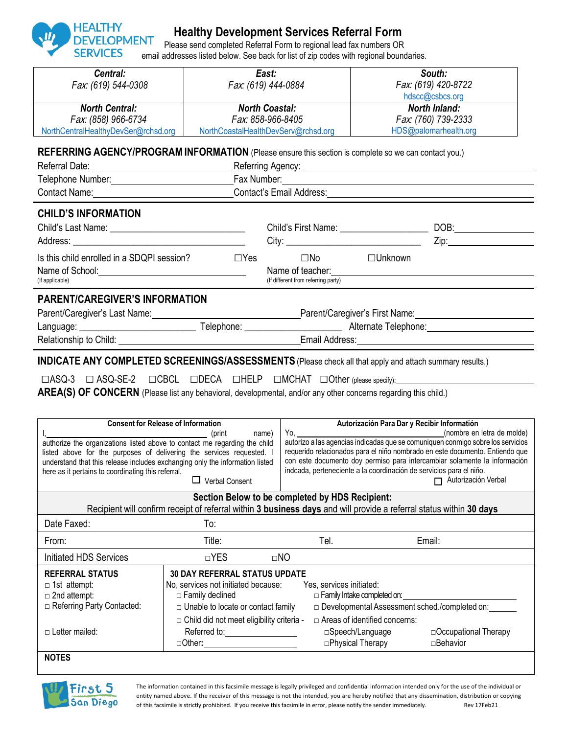

## **Healthy Development Services Referral Form**

Please send completed Referral Form to regional lead fax numbers OR email addresses listed below. See back for list of zip codes with regional boundaries.

| Central:<br>Fax: (619) 544-0308                                                                                                                                                                                                                                                                                                                                                                                                                                                                                                                                                                                                                                                                  |                                                                                                                                                                                                                                      | East:<br>Fax: (619) 444-0884               |                                       | South:<br>Fax: (619) 420-8722<br>hdscc@csbcs.org                           |                                                                                                                                                                                                                                |  |  |  |  |
|--------------------------------------------------------------------------------------------------------------------------------------------------------------------------------------------------------------------------------------------------------------------------------------------------------------------------------------------------------------------------------------------------------------------------------------------------------------------------------------------------------------------------------------------------------------------------------------------------------------------------------------------------------------------------------------------------|--------------------------------------------------------------------------------------------------------------------------------------------------------------------------------------------------------------------------------------|--------------------------------------------|---------------------------------------|----------------------------------------------------------------------------|--------------------------------------------------------------------------------------------------------------------------------------------------------------------------------------------------------------------------------|--|--|--|--|
| <b>North Central:</b><br>Fax: (858) 966-6734<br>NorthCentralHealthyDevSer@rchsd.org                                                                                                                                                                                                                                                                                                                                                                                                                                                                                                                                                                                                              | NorthCoastalHealthDevServ@rchsd.org                                                                                                                                                                                                  | <b>North Coastal:</b><br>Fax: 858-966-8405 |                                       | <b>North Inland:</b><br>Fax: (760) 739-2333<br>HDS@palomarhealth.org       |                                                                                                                                                                                                                                |  |  |  |  |
| REFERRING AGENCY/PROGRAM INFORMATION (Please ensure this section is complete so we can contact you.)<br>Referral Date:<br>Telephone Number: Fax Number: Fax Number: Fax Number: Fax Number: Fax Number: The Contract of the Contract of the Contract of the Contract of the Contract of the Contract of the Contract of the Contract of the Contract of                                                                                                                                                                                                                                                                                                                                          | <b>Example 2018 Contract Contract Contract Contract Contract Contract Contract Contract Contract Contract Contract Contract Contract Contract Contract Contract Contract Contract Contract Contract Contract Contract Contract C</b> |                                            |                                       |                                                                            |                                                                                                                                                                                                                                |  |  |  |  |
| Contact Name: Contact Name: Contact's Email Address: Contact Name: Contact Name: Contact Name: Contact Name: Contact Name: Contact Name: Contact Name: Contact Name: Contact Name: Contact Name: Contact Name: Contact Name: C                                                                                                                                                                                                                                                                                                                                                                                                                                                                   |                                                                                                                                                                                                                                      |                                            |                                       |                                                                            |                                                                                                                                                                                                                                |  |  |  |  |
| <b>CHILD'S INFORMATION</b><br>Is this child enrolled in a SDQPI session?<br>(If applicable)                                                                                                                                                                                                                                                                                                                                                                                                                                                                                                                                                                                                      | $\square$ Yes                                                                                                                                                                                                                        | (If different from referring party)        | $\square$ No                          | □Unknown                                                                   | Zip: will be a series of the series of the series of the series of the series of the series of the series of the series of the series of the series of the series of the series of the series of the series of the series of t |  |  |  |  |
| <b>PARENT/CAREGIVER'S INFORMATION</b><br>Parent/Caregiver's Last Name: Department of Parent/Caregiver's First Name:                                                                                                                                                                                                                                                                                                                                                                                                                                                                                                                                                                              |                                                                                                                                                                                                                                      |                                            |                                       |                                                                            |                                                                                                                                                                                                                                |  |  |  |  |
|                                                                                                                                                                                                                                                                                                                                                                                                                                                                                                                                                                                                                                                                                                  |                                                                                                                                                                                                                                      |                                            |                                       |                                                                            |                                                                                                                                                                                                                                |  |  |  |  |
| INDICATE ANY COMPLETED SCREENINGS/ASSESSMENTS (Please check all that apply and attach summary results.)<br>□ASQ-3 □ ASQ-SE-2 □CBCL □DECA □HELP □MCHAT □Other (please specify):<br>AREA(S) OF CONCERN (Please list any behavioral, developmental, and/or any other concerns regarding this child.)                                                                                                                                                                                                                                                                                                                                                                                                |                                                                                                                                                                                                                                      |                                            |                                       |                                                                            |                                                                                                                                                                                                                                |  |  |  |  |
| <b>Consent for Release of Information</b><br>Autorización Para Dar y Recibir Informatión<br>Yo,<br>name)<br>authorize the organizations listed above to contact me regarding the child<br>requerido relacionados para el niño nombrado en este documento. Entiendo que<br>listed above for the purposes of delivering the services requested. I<br>con este documento doy permiso para intercambiar solamente la información<br>understand that this release includes exchanging only the information listed<br>indcada, perteneciente a la coordinación de servicios para el niño.<br>here as it pertains to coordinating this referral.<br>$\Box$ Autorización Verbal<br>$\Box$ Verbal Consent |                                                                                                                                                                                                                                      |                                            |                                       |                                                                            |                                                                                                                                                                                                                                |  |  |  |  |
|                                                                                                                                                                                                                                                                                                                                                                                                                                                                                                                                                                                                                                                                                                  | Section Below to be completed by HDS Recipient:<br>Recipient will confirm receipt of referral within 3 business days and will provide a referral status within 30 days                                                               |                                            |                                       |                                                                            |                                                                                                                                                                                                                                |  |  |  |  |
| Date Faxed:                                                                                                                                                                                                                                                                                                                                                                                                                                                                                                                                                                                                                                                                                      | To:                                                                                                                                                                                                                                  |                                            |                                       |                                                                            |                                                                                                                                                                                                                                |  |  |  |  |
| From:                                                                                                                                                                                                                                                                                                                                                                                                                                                                                                                                                                                                                                                                                            | Title:                                                                                                                                                                                                                               |                                            | Tel.                                  |                                                                            | Email:                                                                                                                                                                                                                         |  |  |  |  |
| <b>Initiated HDS Services</b>                                                                                                                                                                                                                                                                                                                                                                                                                                                                                                                                                                                                                                                                    | $\Box$ YES                                                                                                                                                                                                                           | $\Box$ NO                                  |                                       |                                                                            |                                                                                                                                                                                                                                |  |  |  |  |
| <b>REFERRAL STATUS</b><br>$\Box$ 1st attempt:<br>$\Box$ 2nd attempt:<br>Referring Party Contacted:                                                                                                                                                                                                                                                                                                                                                                                                                                                                                                                                                                                               | <b>30 DAY REFERRAL STATUS UPDATE</b><br>No, services not initiated because:<br>□ Family declined<br>$\Box$ Unable to locate or contact family<br>□ Child did not meet eligibility criteria -                                         |                                            | Yes, services initiated:              | $\Box$ Family Intake completed on:<br>$\Box$ Areas of identified concerns: | □ Developmental Assessment sched./completed on:                                                                                                                                                                                |  |  |  |  |
| $\Box$ Letter mailed:<br><b>NOTES</b>                                                                                                                                                                                                                                                                                                                                                                                                                                                                                                                                                                                                                                                            | Referred to:___________________<br>□Other:                                                                                                                                                                                           |                                            | □Speech/Language<br>□Physical Therapy |                                                                            | □ Occupational Therapy<br>□Behavior                                                                                                                                                                                            |  |  |  |  |



The information contained in this facsimile message is legally privileged and confidential information intended only for the use of the individual or entity named above. If the receiver of this message is not the intended, you are hereby notified that any dissemination, distribution or copying of this facsimile is strictly prohibited. If you receive this facsimile in error, please notify the sender immediately. Rev 17Feb21